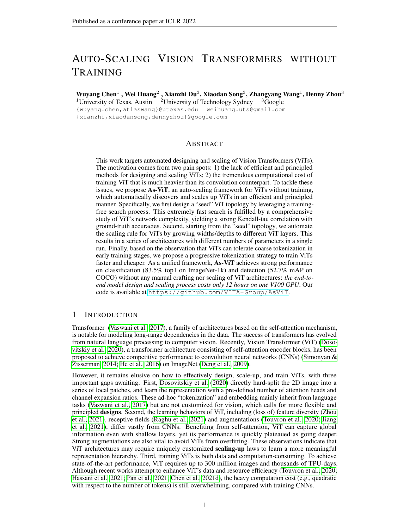# AUTO-SCALING VISION TRANSFORMERS WITHOUT TRAINING

Wuyang Chen $^1$  , Wei Huang $^2$  , Xianzhi Du $^3$ , Xiaodan Song $^3$ , Zhangyang Wang $^1$ , Denny Zhou $^3$ <sup>1</sup>University of Texas, Austin  $2$ University of Technology Sydney  $3$ Google

{wuyang.chen,atlaswang}@utexas.edu weihuang.uts@gmail.com {xianzhi,xiaodansong,dennyzhou}@google.com

#### ABSTRACT

This work targets automated designing and scaling of Vision Transformers (ViTs). The motivation comes from two pain spots: 1) the lack of efficient and principled methods for designing and scaling ViTs; 2) the tremendous computational cost of training ViT that is much heavier than its convolution counterpart. To tackle these issues, we propose As-ViT, an auto-scaling framework for ViTs without training, which automatically discovers and scales up ViTs in an efficient and principled manner. Specifically, we first design a "seed" ViT topology by leveraging a trainingfree search process. This extremely fast search is fulfilled by a comprehensive study of ViT's network complexity, yielding a strong Kendall-tau correlation with ground-truth accuracies. Second, starting from the "seed" topology, we automate the scaling rule for ViTs by growing widths/depths to different ViT layers. This results in a series of architectures with different numbers of parameters in a single run. Finally, based on the observation that ViTs can tolerate coarse tokenization in early training stages, we propose a progressive tokenization strategy to train ViTs faster and cheaper. As a unified framework, As-ViT achieves strong performance on classification (83.5% top1 on ImageNet-1k) and detection (52.7% mAP on COCO) without any manual crafting nor scaling of ViT architectures: *the end-toend model design and scaling process costs only 12 hours on one V100 GPU*. Our code is available at <https://github.com/VITA-Group/AsViT>.

#### 1 INTRODUCTION

Transformer [\(Vaswani et al., 2017\)](#page-12-0), a family of architectures based on the self-attention mechanism, is notable for modeling long-range dependencies in the data. The success of transformers has evolved from natural language processing to computer vision. Recently, Vision Transformer (ViT) [\(Doso](#page-10-0)[vitskiy et al., 2020\)](#page-10-0), a transformer architecture consisting of self-attention encoder blocks, has been proposed to achieve competitive performance to convolution neural networks (CNNs) [\(Simonyan &](#page-11-0) [Zisserman, 2014;](#page-11-0) [He et al., 2016\)](#page-10-1) on ImageNet [\(Deng et al., 2009\)](#page-10-2).

However, it remains elusive on how to effectively design, scale-up, and train ViTs, with three important gaps awaiting. First, [Dosovitskiy et al.](#page-10-0) [\(2020\)](#page-10-0) directly hard-split the 2D image into a series of local patches, and learn the representation with a pre-defined number of attention heads and channel expansion ratios. These ad-hoc "tokenization" and embedding mainly inherit from language tasks [\(Vaswani et al., 2017\)](#page-12-0) but are not customized for vision, which calls for more flexible and principled designs. Second, the learning behaviors of ViT, including (loss of) feature diversity [\(Zhou](#page-13-0) [et al., 2021\)](#page-13-0), receptive fields [\(Raghu et al., 2021\)](#page-11-1) and augmentations [\(Touvron et al., 2020;](#page-12-1) [Jiang](#page-10-3) [et al., 2021\)](#page-10-3), differ vastly from CNNs. Benefiting from self-attention, ViT can capture global information even with shallow layers, yet its performance is quickly plateaued as going deeper. Strong augmentations are also vital to avoid ViTs from overfitting. These observations indicate that ViT architectures may require uniquely customized **scaling-up** laws to learn a more meaningful representation hierarchy. Third, training ViTs is both data and computation-consuming. To achieve state-of-the-art performance, ViT requires up to 300 million images and thousands of TPU-days. Although recent works attempt to enhance ViT's data and resource efficiency [\(Touvron et al., 2020;](#page-12-1) [Hassani et al., 2021;](#page-10-4) [Pan et al., 2021;](#page-11-2) [Chen et al., 2021d\)](#page-9-0), the heavy computation cost (e.g., quadratic with respect to the number of tokens) is still overwhelming, compared with training CNNs.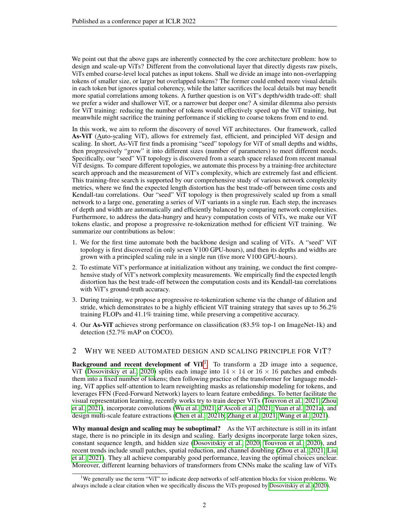We point out that the above gaps are inherently connected by the core architecture problem: how to design and scale-up ViTs? Different from the convolutional layer that directly digests raw pixels, ViTs embed coarse-level local patches as input tokens. Shall we divide an image into non-overlapping tokens of smaller size, or larger but overlapped tokens? The former could embed more visual details in each token but ignores spatial coherency, while the latter sacrifices the local details but may benefit more spatial correlations among tokens. A further question is on ViT's depth/width trade-off: shall we prefer a wider and shallower ViT, or a narrower but deeper one? A similar dilemma also persists for ViT training: reducing the number of tokens would effectively speed up the ViT training, but meanwhile might sacrifice the training performance if sticking to coarse tokens from end to end.

In this work, we aim to reform the discovery of novel ViT architectures. Our framework, called As-ViT (Auto-scaling ViT), allows for extremely fast, efficient, and principled ViT design and scaling. In short, As-ViT first finds a promising "seed" topology for ViT of small depths and widths, then progressively "grow" it into different sizes (number of parameters) to meet different needs. Specifically, our "seed" ViT topology is discovered from a search space relaxed from recent manual ViT designs. To compare different topologies, we automate this process by a training-free architecture search approach and the measurement of ViT's complexity, which are extremely fast and efficient. This training-free search is supported by our comprehensive study of various network complexity metrics, where we find the expected length distortion has the best trade-off between time costs and Kendall-tau correlations. Our "seed" ViT topology is then progressively scaled up from a small network to a large one, generating a series of ViT variants in a single run. Each step, the increases of depth and width are automatically and efficiently balanced by comparing network complexities. Furthermore, to address the data-hungry and heavy computation costs of ViTs, we make our ViT tokens elastic, and propose a progressive re-tokenization method for efficient ViT training. We summarize our contributions as below:

- 1. We for the first time automate both the backbone design and scaling of ViTs. A "seed" ViT topology is first discovered (in only seven V100 GPU-hours), and then its depths and widths are grown with a principled scaling rule in a single run (five more V100 GPU-hours).
- 2. To estimate ViT's performance at initialization without any training, we conduct the first comprehensive study of ViT's network complexity measurements. We empirically find the expected length distortion has the best trade-off between the computation costs and its Kendall-tau correlations with ViT's ground-truth accuracy.
- 3. During training, we propose a progressive re-tokenization scheme via the change of dilation and stride, which demonstrates to be a highly efficient ViT training strategy that saves up to 56.2% training FLOPs and 41.1% training time, while preserving a competitive accuracy.
- 4. Our As-ViT achieves strong performance on classification (83.5% top-1 on ImageNet-1k) and detection (52.7% mAP on COCO).

#### 2 WHY WE NEED AUTOMATED DESIGN AND SCALING PRINCIPLE FOR VIT?

**Background and recent development of ViT<sup>[1](#page-1-0)</sup>** To transform a 2D image into a sequence, ViT [\(Dosovitskiy et al., 2020\)](#page-10-0) splits each image into  $14 \times 14$  or  $16 \times 16$  patches and embeds them into a fixed number of tokens; then following practice of the transformer for language modeling, ViT applies self-attention to learn reweighting masks as relationship modeling for tokens, and leverages FFN (Feed-Forward Network) layers to learn feature embeddings. To better facilitate the visual representation learning, recently works try to train deeper ViTs [\(Touvron et al., 2021;](#page-12-2) [Zhou](#page-13-0) [et al., 2021\)](#page-13-0), incorporate convolutions [\(Wu et al., 2021;](#page-12-3) [d'Ascoli et al., 2021;](#page-10-5) [Yuan et al., 2021a\)](#page-12-4), and design multi-scale feature extractions [\(Chen et al., 2021b;](#page-9-1) [Zhang et al., 2021;](#page-13-1) [Wang et al., 2021\)](#page-12-5).

Why manual design and scaling may be suboptimal? As the ViT architecture is still in its infant stage, there is no principle in its design and scaling. Early designs incorporate large token sizes, constant sequence length, and hidden size [\(Dosovitskiy et al., 2020;](#page-10-0) [Touvron et al., 2020\)](#page-12-1), and recent trends include small patches, spatial reduction, and channel doubling [\(Zhou et al., 2021;](#page-13-0) [Liu](#page-11-3) [et al., 2021\)](#page-11-3). They all achieve comparably good performance, leaving the optimal choices unclear. Moreover, different learning behaviors of transformers from CNNs make the scaling law of ViTs

<span id="page-1-0"></span><sup>&</sup>lt;sup>1</sup>We generally use the term "ViT" to indicate deep networks of self-attention blocks for vision problems. We always include a clear citation when we specifically discuss the ViTs proposed by [Dosovitskiy et al.](#page-10-0) [\(2020\)](#page-10-0).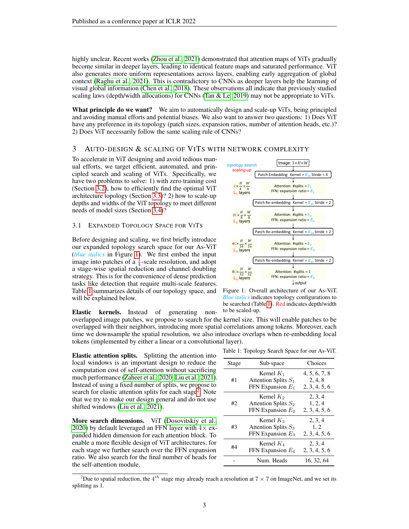highly unclear. Recent works [\(Zhou et al., 2021\)](#page-13-0) demonstrated that attention maps of ViTs gradually become similar in deeper layers, leading to identical feature maps and saturated performance. ViT also generates more uniform representations across layers, enabling early aggregation of global context [\(Raghu et al., 2021\)](#page-11-1). This is contradictory to CNNs as deeper layers help the learning of visual global information [\(Chen et al., 2018\)](#page-9-2). These observations all indicate that previously studied scaling laws (depth/width allocations) for CNNs [\(Tan & Le, 2019\)](#page-12-6) may not be appropriate to ViTs.

What principle do we want? We aim to automatically design and scale-up ViTs, being principled and avoiding manual efforts and potential biases. We also want to answer two questions: 1) Does ViT have any preference in its topology (patch sizes, expansion ratios, number of attention heads, etc.)? 2) Does ViT necessarily follow the same scaling rule of CNNs?

#### 3 AUTO-DESIGN & SCALING OF VITS WITH NETWORK COMPLEXITY

To accelerate in ViT designing and avoid tedious manual efforts, we target efficient, automated, and principled search and scaling of ViTs. Specifically, we have two problems to solve: 1) with zero training cost (Section [3.2\)](#page-3-0), how to efficiently find the optimal ViT architecture topology (Section [3.3\)](#page-4-0)? 2) how to scale-up depths and widths of the ViT topology to meet different needs of model sizes (Section [3.4\)](#page-4-1)?

#### 3.1 EXPANDED TOPOLOGY SPACE FOR VITS

Before designing and scaling, we first briefly introduce our expanded topology search space for our As-ViT (*blue italics* in Figure [1\)](#page-2-1). We first embed the input image into patches of a  $\frac{1}{4}$ -scale resolution, and adopt a stage-wise spatial reduction and channel doubling strategy. This is for the convenience of dense prediction tasks like detection that require multi-scale features. Table [1](#page-2-0) summarizes details of our topology space, and will be explained below.

Elastic kernels. Instead of generating nonoverlapped image patches, we propose to search for the kernel size. This will enable patches to be overlapped with their neighbors, introducing more spatial correlations among tokens. Moreover, each time we downsample the spatial resolution, we also introduce overlaps when re-embedding local tokens (implemented by either a linear or a convolutional layer).

Elastic attention splits. Splitting the attention into local windows is an important design to reduce the computation cost of self-attention without sacrificing much performance [\(Zaheer et al., 2020;](#page-12-7) [Liu et al., 2021\)](#page-11-3). Instead of using a fixed number of splits, we propose to search for elastic attention splits for each stage<sup>[2](#page-2-2)</sup>. Note that we try to make our design general and do not use shifted windows [\(Liu et al., 2021\)](#page-11-3).

More search dimensions. ViT [\(Dosovitskiy et al.,](#page-10-0) [2020\)](#page-10-0) by default leveraged an FFN layer with  $4\times$  expanded hidden dimension for each attention block. To enable a more flexible design of ViT architectures, for each stage we further search over the FFN expansion ratio. We also search for the final number of heads for the self-attention module.

<span id="page-2-1"></span>

Figure 1: Overall architecture of our As-ViT. *Blue italics* indicates topology configurations to be searched (Table [1\)](#page-2-0). Red indicates depth/width to be scaled-up.

Table 1: Topology Search Space for our As-ViT.

<span id="page-2-0"></span>

| Stage | Sub-space                                                     | Choices                                   |
|-------|---------------------------------------------------------------|-------------------------------------------|
| #1    | Kernel $K_1$<br>Attention Splits $S_1$<br>FFN Expansion $E_1$ | 4, 5, 6, 7, 8<br>2, 4, 8<br>2, 3, 4, 5, 6 |
| #2    | Kernel $K_2$<br>Attention Splits $S_2$<br>FFN Expansion $E_2$ | 2, 3, 4<br>1, 2, 4<br>2, 3, 4, 5, 6       |
| #3    | Kernel $K_3$<br>Attention Splits $S_3$<br>FFN Expansion $E_3$ | 2, 3, 4<br>1, 2<br>2, 3, 4, 5, 6          |
| #4    | Kernel $K_4$<br>FFN Expansion $E_4$                           | 2, 3, 4<br>2, 3, 4, 5, 6                  |
|       | Num. Heads                                                    | 16, 32, 64                                |
|       |                                                               |                                           |

<span id="page-2-2"></span><sup>&</sup>lt;sup>2</sup>Due to spatial reduction, the  $4^{th}$  stage may already reach a resolution at  $7 \times 7$  on ImageNet, and we set its splitting as 1.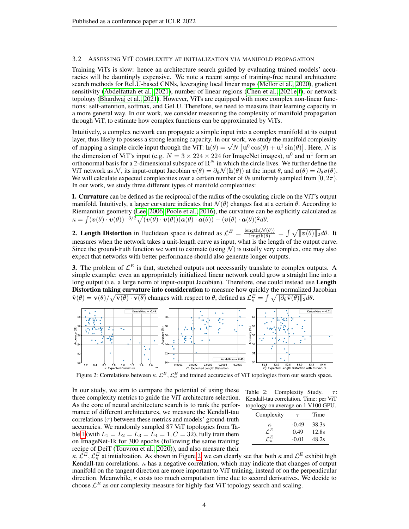#### <span id="page-3-0"></span>3.2 ASSESSING VIT COMPLEXITY AT INITIALIZATION VIA MANIFOLD PROPAGATION

Training ViTs is slow: hence an architecture search guided by evaluating trained models' accuracies will be dauntingly expensive. We note a recent surge of training-free neural architecture search methods for ReLU-based CNNs, leveraging local linear maps [\(Mellor et al., 2020\)](#page-11-4), gradient sensitivity [\(Abdelfattah et al., 2021\)](#page-9-3), number of linear regions [\(Chen et al., 2021e](#page-9-4)[;f\)](#page-9-5), or network topology [\(Bhardwaj et al., 2021\)](#page-9-6). However, ViTs are equipped with more complex non-linear functions: self-attention, softmax, and GeLU. Therefore, we need to measure their learning capacity in a more general way. In our work, we consider measuring the complexity of manifold propagation through ViT, to estimate how complex functions can be approximated by ViTs.

Intuitively, a complex network can propagate a simple input into a complex manifold at its output layer, thus likely to possess a strong learning capacity. In our work, we study the manifold complexity of mapping a simple circle input through the ViT:  $h(\theta) = \sqrt{N} \left[ u^0 \cos(\theta) + u^1 \sin(\theta) \right]$ . Here, N is the dimension of ViT's input (e.g.  $N = 3 \times 224 \times 224$  for ImageNet images),  $\mathbf{u}^0$  and  $\mathbf{u}^1$  form an orthonormal basis for a 2-dimensional subspace of  $\mathbb{R}^N$  in which the circle lives. We further define the ViT network as N, its input-output Jacobian  $v(\theta) = \partial_{\theta} N(h(\theta))$  at the input  $\theta$ , and  $\alpha(\theta) = \partial_{\theta} v(\theta)$ . We will calculate expected complexities over a certain number of  $\theta$ s uniformly sampled from  $[0, 2\pi)$ . In our work, we study three different types of manifold complexities:

1. Curvature can be defined as the reciprocal of the radius of the osculating circle on the ViT's output manifold. Intuitively, a larger curvature indicates that  $\mathcal{N}(\theta)$  changes fast at a certain  $\theta$ . According to Riemannian geometry [\(Lee, 2006;](#page-11-5) [Poole et al., 2016\)](#page-11-6), the curvature can be explicitly calculated as  $\kappa = \int (\boldsymbol{v}(\theta) \cdot \boldsymbol{v}(\theta))^{-3/2} \sqrt{(\boldsymbol{v}(\theta) \cdot \boldsymbol{v}(\theta)) (\boldsymbol{a}(\theta) \cdot \boldsymbol{a}(\theta)) - (\boldsymbol{v}(\theta) \cdot \boldsymbol{a}(\theta))^2} d\theta.$ 

**2. Length Distortion** in Euclidean space is defined as  $\mathcal{L}^E = \frac{\text{length}(\mathcal{N}(\theta))}{\text{length}(\theta)} = \int \sqrt{\|\mathbf{v}(\theta)\|_2} d\theta$ . It measures when the network takes a unit-length curve as input, what is the length of the output curve. Since the ground-truth function we want to estimate (using  $\mathcal N$ ) is usually very complex, one may also expect that networks with better performance should also generate longer outputs.

**3.** The problem of  $\mathcal{L}^E$  is that, stretched outputs not necessarily translate to complex outputs. A simple example: even an appropriately initialized linear network could grow a straight line into a long output (i.e. a large norm of input-output Jacobian). Therefore, one could instead use Length Distortion taking curvature into consideration to measure how quickly the normalized Jacobian  $\hat{\mathbf{v}}(\theta) = \mathbf{v}(\theta) / \sqrt{\mathbf{v}(\theta) \cdot \mathbf{v}(\theta)}$  changes with respect to  $\theta$ , defined as  $\mathcal{L}_{\kappa}^{E} = \int \sqrt{\|\partial_{\theta} \hat{\mathbf{v}}(\theta)\|_2} d\theta$ .

<span id="page-3-1"></span>

Figure 2: Correlations between  $\kappa$ ,  $\mathcal{L}^E$ ,  $\mathcal{L}^E_\kappa$  and trained accuracies of ViT topologies from our search space.

In our study, we aim to compare the potential of using these three complexity metrics to guide the ViT architecture selection. As the core of neural architecture search is to rank the performance of different architectures, we measure the Kendall-tau correlations  $(\tau)$  between these metrics and models' ground-truth accuracies. We randomly sampled 87 ViT topologies from Ta-ble [1](#page-2-0) (with  $L_1 = L_2 = L_3 = \bar{L}_4 = 1, C = 32$ ), fully train them on ImageNet-1k for 300 epochs (following the same training recipe of DeiT [\(Touvron et al., 2020\)](#page-12-1)), and also measure their



| Complexity             | $\tau$  | Time  |
|------------------------|---------|-------|
| $\kappa$               | $-0.49$ | 38.3s |
| $\mathcal{L}^E$        | 0.49    | 12.8s |
| $\mathcal{L}^E_\kappa$ | $-0.01$ | 48.2s |
|                        |         |       |

 $\kappa, \mathcal{L}^E, \mathcal{L}^E_\kappa$  at initialization. As shown in Figure [2,](#page-3-1) we can clearly see that both  $\kappa$  and  $\mathcal{L}^E$  exhibit high Kendall-tau correlations.  $\kappa$  has a negative correlation, which may indicate that changes of output manifold on the tangent direction are more important to ViT training, instead of on the perpendicular direction. Meanwhile,  $\kappa$  costs too much computation time due to second derivatives. We decide to choose  $\mathcal{L}^E$  as our complexity measure for highly fast ViT topology search and scaling.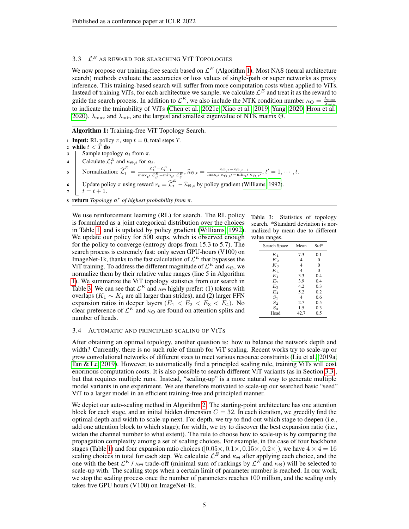## <span id="page-4-0"></span>3.3  $\mathcal{L}^E$  as reward for searching VIT Topologies

We now propose our training-free search based on  $\mathcal{L}^E$  (Algorithm [1\)](#page-4-2). Most NAS (neural architecture search) methods evaluate the accuracies or loss values of single-path or super networks as proxy inference. This training-based search will suffer from more computation costs when applied to ViTs. Instead of training ViTs, for each architecture we sample, we calculate  $\mathcal{L}^E$  and treat it as the reward to guide the search process. In addition to  $\mathcal{L}^E$ , we also include the NTK condition number  $\kappa_{\Theta} = \frac{\lambda_{\max}}{\lambda_{\min}}$ to indicate the trainability of ViTs [\(Chen et al., 2021e;](#page-9-4) [Xiao et al., 2019;](#page-12-8) [Yang, 2020;](#page-12-9) [Hron et al.,](#page-10-6) [2020\)](#page-10-6).  $\lambda_{\text{max}}$  and  $\lambda_{\text{min}}$  are the largest and smallest eigenvalue of NTK matrix  $\Theta$ .

Algorithm 1: Training-free ViT Topology Search.

1 **Input:** RL policy  $\pi$ , step  $t = 0$ , total steps T. 2 while  $t < \tilde{T}$  do 3 | Sample topology  $a_t$  from  $\pi$ . 4 Calculate  $\mathcal{L}_t^E$  and  $\kappa_{\Theta,t}$  for  $a_t$ . 5 Normalization:  $\hat{\mathcal{L}}_t^E = \frac{\mathcal{L}_t^E - \mathcal{L}_{t-1}^E}{\max_{t'} \mathcal{L}_{t'}^E - \min_{t'} \mathcal{L}_{t'}^E}, \hat{\kappa}_{\Theta, t} = \frac{\kappa_{\Theta, t} - \kappa_{\Theta, t-1}}{\max_{t'} \kappa_{\Theta, t'} - \min_{t'} E_{t'}}$  $\frac{\kappa_{\Theta,t}-\kappa_{\Theta,t-1}}{\max_{t'} \kappa_{\Theta,t'}-\min_{t'} \kappa_{\Theta,t'}}, t'=1,\cdots,t.$ 6 Update policy  $\pi$  using reward  $r_t = \hat{\mathcal{L}}_t^E - \hat{\kappa}_{\Theta, t}$  by policy gradient [\(Williams, 1992\)](#page-12-10).  $\tau \;\; | \;\; t = t + 1.$ 

<sup>8</sup> return *Topology* a ∗ *of highest probability from* π*.*

We use reinforcement learning (RL) for search. The RL policy is formulated as a joint categorical distribution over the choices in Table [1,](#page-2-0) and is updated by policy gradient [\(Williams, 1992\)](#page-12-10). We update our policy for 500 steps, which is observed enough for the policy to converge (entropy drops from 15.3 to 5.7). The search process is extremely fast: only seven GPU-hours (V100) on ImageNet-1k, thanks to the fast calculation of  $\mathcal{L}^E$  that bypasses the ViT training. To address the different magnitude of  $\mathcal{L}^E$  and  $\kappa_{\Theta}$ , we normalize them by their relative value ranges (line 5 in Algorithm [1\)](#page-4-2). We summarize the ViT topology statistics from our search in Table [3.](#page-4-3) We can see that  $\mathcal{L}^E$  and  $\kappa_{\Theta}$  highly prefer: (1) tokens with overlaps ( $K_1 \sim K_4$  are all larger than strides), and (2) larger FFN expansion ratios in deeper layers ( $E_1 < E_2 < E_3 < E_4$ ). No clear preference of  $\mathcal{L}^E$  and  $\kappa_{\Theta}$  are found on attention splits and number of heads.

<span id="page-4-3"></span><span id="page-4-2"></span>Table 3: Statistics of topology search. \*Standard deviation is normalized by mean due to different value ranges.

| Search Space | Mean           | $Std*$   |
|--------------|----------------|----------|
| $K_1$        | 7.3            | 0.1      |
| $K_2$        | $\overline{4}$ | $\theta$ |
| $K_3$        | 4              | $\theta$ |
| K4           | 4              | $\Omega$ |
| $E_1$        | 3.3            | 0.4      |
| $E_2$        | 3.9            | 0.4      |
| $E_3$        | 4.2            | 0.3      |
| E4           | 5.2            | 0.2      |
| $S_1$        | 4              | 0.6      |
| $S_2$        | 2.7            | 0.5      |
| $S_3$        | 1.5            | 0.3      |
| Head         | 42.7           | 0.5      |
|              |                |          |

#### <span id="page-4-1"></span>3.4 AUTOMATIC AND PRINCIPLED SCALING OF VITS

After obtaining an optimal topology, another question is: how to balance the network depth and width? Currently, there is no such rule of thumb for ViT scaling. Recent works try to scale-up or grow convolutional networks of different sizes to meet various resource constraints [\(Liu et al., 2019a;](#page-11-7) [Tan & Le, 2019\)](#page-12-6). However, to automatically find a principled scaling rule, training ViTs will cost enormous computation costs. It is also possible to search different ViT variants (as in Section [3.3\)](#page-4-0), but that requires multiple runs. Instead, "scaling-up" is a more natural way to generate multiple model variants in one experiment. We are therefore motivated to scale-up our searched basic "seed" ViT to a larger model in an efficient training-free and principled manner.

We depict our auto-scaling method in Algorithm [2.](#page-5-0) The starting-point architecture has one attention block for each stage, and an initial hidden dimension  $C = 32$ . In each iteration, we greedily find the optimal depth and width to scale-up next. For depth, we try to find out which stage to deepen (i.e., add one attention block to which stage); for width, we try to discover the best expansion ratio (i.e., widen the channel number to what extent). The rule to choose how to scale-up is by comparing the propagation complexity among a set of scaling choices. For example, in the case of four backbone stages (Table [1\)](#page-2-0) and four expansion ratio choices ( $[0.05 \times, 0.1 \times, 0.15 \times, 0.2 \times]$ ), we have  $4 \times 4 = 16$ scaling choices in total for each step. We calculate  $\mathcal{L}^E$  and  $\kappa_{\Theta}$  after applying each choice, and the one with the best  $\mathcal{L}^E/\kappa_\Theta$  trade-off (minimal sum of rankings by  $\mathcal{L}^E$  and  $\kappa_\Theta$ ) will be selected to scale-up with. The scaling stops when a certain limit of parameter number is reached. In our work, we stop the scaling process once the number of parameters reaches 100 million, and the scaling only takes five GPU hours (V100) on ImageNet-1k.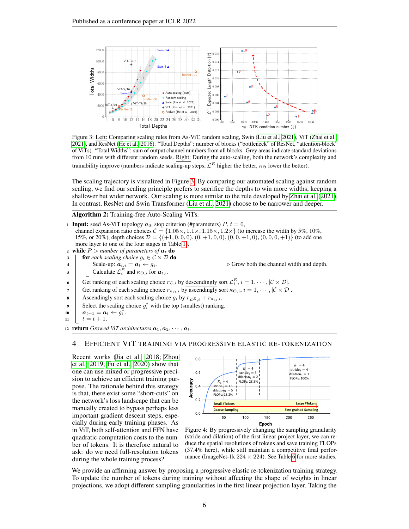<span id="page-5-1"></span>

Figure 3: Left: Comparing scaling rules from As-ViT, random scaling, Swin [\(Liu et al., 2021\)](#page-11-3), ViT [\(Zhai et al.,](#page-12-11) [2021\)](#page-12-11), and ResNet [\(He et al., 2016\)](#page-10-1). "Total Depths": number of blocks ("bottleneck" of ResNet, "attention-block" of ViTs). "Total Widths": sum of output channel numbers from all blocks. Grey areas indicate standard deviations from 10 runs with different random seeds. Right: During the auto-scaling, both the network's complexity and trainability improve (numbers indicate scaling-up steps,  $\mathcal{L}^E$  higher the better,  $\kappa_{\Theta}$  lower the better).

The scaling trajectory is visualized in Figure [3.](#page-5-1) By comparing our automated scaling against random scaling, we find our scaling principle prefers to sacrifice the depths to win more widths, keeping a shallower but wider network. Our scaling is more similar to the rule developed by [Zhai et al.](#page-12-11) [\(2021\)](#page-12-11). In contrast, ResNet and Swin Transformer [\(Liu et al., 2021\)](#page-11-3) choose to be narrower and deeper.

Algorithm 2: Training-free Auto-Scaling ViTs.

1 Input: seed As-ViT topology  $a_0$ , stop criterion (#parameters)  $P, t = 0$ , channel expansion ratio choices  $C = \{1.05 \times, 1.1 \times, 1.15 \times, 1.2 \times\}$  (to increase the width by 5%, 10%, 15%, or 20%), depth choices  $\mathcal{D} = \{(+1, 0, 0, 0), (0, +1, 0, 0), (0, 0, +1, 0), (0, 0, 0, +1)\}\$  (to add one more layer to one of the four stages in Table [1\)](#page-2-0). 2 while  $P >$  *number of parameters of*  $a_t$  do 3 **for** *each scaling choice*  $g_i \in \mathcal{C} \times \mathcal{D}$  **do** 4 Scale-up:  $a_{t,i} = a_t \leftarrow g_i$ .  $\triangleright$  Grow both the channel width and depth. 5 Calculate  $\mathcal{L}_i^E$  and  $\kappa_{\Theta,i}$  for  $a_{t,i}$ . 6 Get ranking of each scaling choice  $r_{\mathcal{L},i}$  by descendingly sort  $\mathcal{L}_i^E$ ,  $i = 1, \dots, |\mathcal{C} \times \mathcal{D}|$ . 7 Get ranking of each scaling choice  $r_{\kappa_{\Theta},i}$  by ascendingly sort  $\kappa_{\Theta,i}$ ,  $i = 1, \dots, |\mathcal{C} \times \mathcal{D}|$ . 8 Ascendingly sort each scaling choice  $g_i$  by  $r_{\mathcal{L}^E,i} + r_{\kappa_{\Theta},i}$ . 9 Select the scaling choice  $g_i^*$  with the top (smallest) ranking.  $\bm{a}_t = \bm{a}_t \leftarrow \tilde{g_t^*}.$  $11 \quad t = t + 1.$ 12 **return** *Growed ViT architectures*  $a_1, a_2, \cdots, a_t$ .

## <span id="page-5-3"></span>4 EFFICIENT VIT TRAINING VIA PROGRESSIVE ELASTIC RE-TOKENIZATION

Recent works [\(Jia et al., 2018;](#page-10-7) [Zhou](#page-13-2) [et al., 2019;](#page-13-2) [Fu et al., 2020\)](#page-10-8) show that one can use mixed or progressive precision to achieve an efficient training purpose. The rationale behind this strategy is that, there exist some "short-cuts" on the network's loss landscape that can be manually created to bypass perhaps less important gradient descent steps, especially during early training phases. As in ViT, both self-attention and FFN have quadratic computation costs to the number of tokens. It is therefore natural to ask: do we need full-resolution tokens during the whole training process?

<span id="page-5-2"></span><span id="page-5-0"></span>

Figure 4: By progressively changing the sampling granularity (stride and dilation) of the first linear project layer, we can reduce the spatial resolutions of tokens and save training FLOPs (37.4% here), while still maintain a competitive final performance (ImageNet-1k  $224 \times 224$ ). See Table [6](#page-7-0) for more studies.

We provide an affirming answer by proposing a progressive elastic re-tokenization training strategy. To update the number of tokens during training without affecting the shape of weights in linear projections, we adopt different sampling granularities in the first linear projection layer. Taking the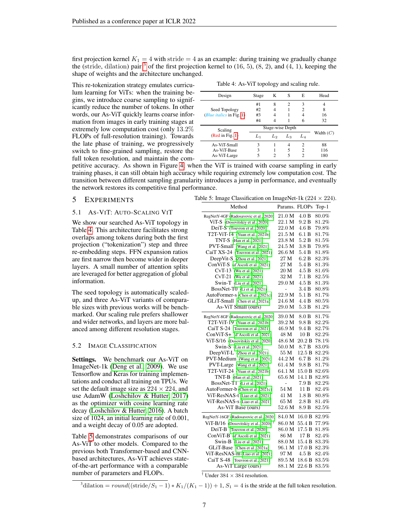first projection kernel  $K_1 = 4$  with stride  $= 4$  as an example: during training we gradually change the (stride, dilation) pair  $3$  of the first projection kernel to (16, 5), (8, 2), and (4, 1), keeping the shape of weights and the architecture unchanged.

This re-tokenization strategy emulates curriculum learning for ViTs: when the training begins, we introduce coarse sampling to significantly reduce the number of tokens. In other words, our As-ViT quickly learns coarse information from images in early training stages at extremely low computation cost (only 13.2% FLOPs of full-resolution training). Towards the late phase of training, we progressively switch to fine-grained sampling, restore the full token resolution, and maintain the com-

Table 4: As-ViT topology and scaling rule.

<span id="page-6-1"></span>

| Design                     | Stage | K  | S                           | E              | Head        |
|----------------------------|-------|----|-----------------------------|----------------|-------------|
|                            | #1    | 8  | $\mathcal{D}_{\mathcal{A}}$ | 3              | 4           |
| Seed Topology              | #2    | 4  |                             | 2              | 8           |
| (Blue italics in Fig. 1)   | #3    | 4  |                             |                | 16          |
|                            | #4    |    |                             | 6              | 32          |
|                            |       |    |                             |                |             |
|                            |       |    | Stage-wise Depth            |                |             |
| Scaling<br>(Red in Fig. 1) | $L_1$ | L2 | $L_3$                       | $L_{4}$        | Width $(C)$ |
| As-ViT-Small               | 3     |    | 4                           | $\mathfrak{D}$ | 88          |
| As-ViT-Base                | 3     |    | 5                           | 2              | 116         |

petitive accuracy. As shown in Figure [4,](#page-5-2) when the ViT is trained with coarse sampling in early training phases, it can still obtain high accuracy while requiring extremely low computation cost. The transition between different sampling granularity introduces a jump in performance, and eventually the network restores its competitive final performance.

## 5 EXPERIMENTS

#### 5.1 AS-VIT: AUTO-SCALING VIT

We show our searched As-ViT topology in Table [4.](#page-6-1) This architecture facilitates strong overlaps among tokens during both the first projection ("tokenization") step and three re-embedding steps. FFN expansion ratios are first narrow then become wider in deeper layers. A small number of attention splits are leveraged for better aggregation of global information.

The seed topology is automatically scaledup, and three As-ViT variants of comparable sizes with previous works will be benchmarked. Our scaling rule prefers shallower and wider networks, and layers are more balanced among different resolution stages.

#### <span id="page-6-2"></span>5.2 IMAGE CLASSIFICATION

Settings. We benchmark our As-ViT on ImageNet-1k [\(Deng et al., 2009\)](#page-10-2). We use Tensorflow and Keras for training implementations and conduct all training on TPUs. We set the default image size as  $224 \times 224$ , and use AdamW [\(Loshchilov & Hutter, 2017\)](#page-11-11) as the optimizer with cosine learning rate decay [\(Loshchilov & Hutter, 2016\)](#page-11-12). A batch size of 1024, an initial learning rate of 0.001, and a weight decay of 0.05 are adopted.

Table [5](#page-6-2) demonstrates comparisons of our As-ViT to other models. Compared to the previous both Transformer-based and CNNbased architectures, As-ViT achieves stateof-the-art performance with a comparable number of parameters and FLOPs.

| Table 5: Image Classification on ImageNet-1k (224 $\times$ 224). |  |  |
|------------------------------------------------------------------|--|--|
|                                                                  |  |  |

| Method                                           | Params. FLOPs     |                  | $Top-1$ |
|--------------------------------------------------|-------------------|------------------|---------|
| RegNetY-4GF (Radosavovic et al., 2020)           | 21.0 M            | 4.0 B            | 80.0%   |
| ViT-S (Dosovitskiy et al., 2020)                 | 22.1 M            | 9.2 B            | 81.2%   |
| DeiT-S (Touvron et al., 2020)                    | 22.0 M            | 4.6 B            | 79.8%   |
| T2T-ViT-14 (Yuan et al., 2021b)                  | 21.5 M            | 6.1 B            | 81.7%   |
| TNT-S (Han et al., 2021)                         | 23.8 M            | 5.2 B            | 81.5%   |
| PVT-Small (Wang et al., 2021)                    | 24.5 M            | 3.8 B            | 79.8%   |
| CaiT XS-24 (Touvron et al., 2021)                | 26.6 M            | 5.4B             | 81.8%   |
| DeepVit-S (Zhou et al., 2021)                    | 27 M              | 6.2 B            | 82.3%   |
| ConViT-S (d'Ascoli et al., 2021)                 | 27 M              | 5.4B             | 81.3%   |
| CvT-13 (Wu et al., 2021)                         | 20 M              | 4.5B             | 81.6%   |
| (Wu et al., 2021)<br>$CvT-21$                    | 32 M              | 7.1 B            | 82.5%   |
| Swin-T (Liu et al., 2021)                        | 29.0 M            | 4.5 B            | 81.3%   |
| BossNet-T0 (Li et al., 2021)                     | L,                | 3.4 B            | 80.8%   |
| AutoFormer-s (Chen et al., 2021c)                | 22.9 M            | 5.1 B            | 81.7%   |
| GLiT-Small (Chen et al., 2021a)                  | 24.6 M            | 4.4 B            | 80.5%   |
| As-ViT Small (ours)                              | 29.0 M            | 5.3B             | 81.2%   |
| RegNetY-8GF (Radosavovic et al., 2020)           | 39.0 M            | 8.0 B            | 81.7%   |
| T2T-ViT-19 (Yuan et al., 2021b)                  | 39.2 M            | 9.8 B            | 82.2%   |
| CaiT S-24 (Touvron et al., 2021)                 | 46.9 M            | 9.4 <sub>B</sub> | 82.7%   |
| ConViT-S+ (d'Ascoli et al., 2021)                | 48 M              | 10B              | 82.2%   |
| ViT-S/16 (Dosovitskiy et al., 2020)              | 48.6 M            | 20.2 B           | 78.1%   |
| Swin-S (Liu et al., 2021)                        | 50.0 <sub>M</sub> | 8.7 <sub>B</sub> | 83.0%   |
| DeepViT-L (Zhou et al., 2021)                    | 55 M              | 12.5 B           | 82.2%   |
| PVT-Medium (Wang et al., 2021)                   | 44.2 M            | 6.7 <sub>B</sub> | 81.2%   |
| PVT-Large (Wang et al., 2021)                    | 61.4 M            | 9.8B             | 81.7%   |
| T2T-ViT-24 (Yuan et al., 2021b)                  | 64.1 M            | 15.0 B           | 82.6%   |
| TNT-B (Han et al., 2021)                         | 65.6 M            | 14.1 B           | 82.8%   |
| BossNet-T1 (Li et al., 2021)                     | $\overline{a}$    | 7.9B             | 82.2%   |
| AutoFormer-b (Chen et al., 2021c)                | 54 M              | 11B              | 82.4%   |
| ViT-ResNAS-t (Liao et al., 2021)                 | 41 M              | 1.8 B            | 80.8%   |
| ViT-ResNAS-s (Liao et al., 2021)                 | 65 M              | 2.8B             | 81.4%   |
| As-ViT Base (ours)                               | 52.6 M            | 8.9 <sub>B</sub> | 82.5%   |
| RegNetY-16GF (Radosavovic et al., 2020)          | 84.0 M            | 16.0 B           | 82.9%   |
| ViT-B/16 (Dosovitskiy et al., 2020) <sup>†</sup> | 86.0 M            | 55.4 B           | 77.9%   |
| DeiT-B (Touvron et al., 2020)                    | 86.0 M            | 17.5 B           | 81.8%   |
| ConViT-B (d'Ascoli et al., 2021)                 | 86 M              | 17 B             | 82.4%   |
| Swin-B (Liu et al., 2021)                        | 88.0 M            | 15.4 B           | 83.3%   |
| GLiT-Base (Chen et al., 2021a)                   | 96.1 M            | 17.0 B           | 82.3%   |
| ViT-ResNAS-m (Liao et al., 2021)                 | 97 M              | 4.5 B            | 82.4%   |
| CaiT S-48 (Touvron et al., 2021)                 | 89.5 M            | 18.6 B           | 83.5%   |
| As-ViT Large (ours)                              | 88.1 M            | 22.6B            | 83.5%   |

<sup>†</sup> Under  $384 \times 384$  resolution.

<span id="page-6-0"></span><sup>3</sup>dilation =  $round((\text{stride}/S_1 - 1) * K_1/(K_1 - 1)) + 1$ ,  $S_1 = 4$  is the stride at the full token resolution.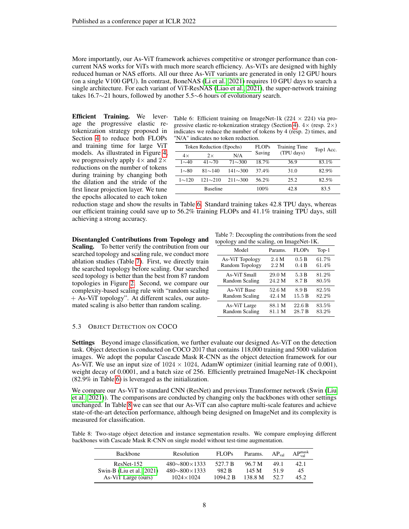More importantly, our As-ViT framework achieves competitive or stronger performance than concurrent NAS works for ViTs with much more search efficiency. As-ViTs are designed with highly reduced human or NAS efforts. All our three As-ViT variants are generated in only 12 GPU hours (on a single V100 GPU). In contrast, BoneNAS [\(Li et al., 2021\)](#page-11-9) requires 10 GPU days to search a single architecture. For each variant of ViT-ResNAS [\(Liao et al., 2021\)](#page-11-10), the super-network training takes 16.7∼21 hours, followed by another 5.5∼6 hours of evolutionary search.

Efficient Training. We leverage the progressive elastic retokenization strategy proposed in Section [4](#page-5-3) to reduce both FLOPs and training time for large ViT models. As illustrated in Figure [4,](#page-5-2) we progressively apply  $4\times$  and  $2\times$ reductions on the number of tokens during training by changing both the dilation and the stride of the first linear projection layer. We tune the epochs allocated to each token

<span id="page-7-0"></span>Table 6: Efficient training on ImageNet-1k ( $224 \times 224$ ) via pro-gressive elastic re-tokenization strategy (Section [4\)](#page-5-3).  $4 \times$  (resp.  $2 \times$ ) indicates we reduce the number of tokens by 4 (resp. 2) times, and "N/A" indicates no token reduction.

|              | Token Reduction (Epochs) |                | <b>FLOPs</b> | Training Time | Top1 Acc. |  |
|--------------|--------------------------|----------------|--------------|---------------|-----------|--|
| $4\times$    | $2\times$                | N/A            | Saving       | (TPU days)    |           |  |
| $1\sim 40$   | $41{\sim}70$             | $71{\sim}300$  | $18.7\%$     | 36.9          | 83.1%     |  |
| $1\sim80$    | $81{\sim}140$            | $141 \sim 300$ | 37.4%        | 31.0          | 82.9%     |  |
| $1 \sim 120$ | $121 \sim 210$           | $211 \sim 300$ | 56.2%        | 25.2          | 82.5%     |  |
|              | <b>Baseline</b>          |                | $100\%$      | 42.8          | 83.5      |  |

reduction stage and show the results in Table [6.](#page-7-0) Standard training takes 42.8 TPU days, whereas our efficient training could save up to 56.2% training FLOPs and 41.1% training TPU days, still achieving a strong accuracy.

Disentangled Contributions from Topology and Scaling. To better verify the contribution from our searched topology and scaling rule, we conduct more ablation studies (Table [7\)](#page-7-1). First, we directly train the searched topology before scaling. Our searched seed topology is better than the best from 87 random topologies in Figure [2.](#page-3-1) Second, we compare our complexity-based scaling rule with "random scaling + As-ViT topology". At different scales, our automated scaling is also better than random scaling.

Table 7: Decoupling the contributions from the seed topology and the scaling, on ImageNet-1K.

<span id="page-7-1"></span>

| Model           | Params.         | <b>FLOPs</b>     | $Top-1$ |
|-----------------|-----------------|------------------|---------|
| As-ViT Topology | 2.4 M           | 0.5 B            | 61.7%   |
| Random Topology | 2.2 M           | 0.4 B            | 61.4%   |
| As-ViT Small    | 29.0 M          | 5.3 B            | 81.2%   |
| Random Scaling  | 24.2 M          | 8.7 <sub>B</sub> | 80.5%   |
| As-ViT Base     | $52.6\text{ M}$ | 8.9 B            | 82.5%   |
| Random Scaling  | 42.4 M          | 15.5 B           | 82.2%   |
| As-ViT Large    | 88.1 M          | 22.6B            | 83.5%   |
| Random Scaling  | 81.1 M          | 28.7 B           | 83.2%   |

## 5.3 OBJECT DETECTION ON COCO

Settings Beyond image classification, we further evaluate our designed As-ViT on the detection task. Object detection is conducted on COCO 2017 that contains 118,000 training and 5000 validation images. We adopt the popular Cascade Mask R-CNN as the object detection framework for our As-ViT. We use an input size of  $1024 \times 1024$ , AdamW optimizer (initial learning rate of 0.001), weight decay of 0.0001, and a batch size of 256. Efficiently pretrained ImageNet-1K checkpoint (82.9% in Table [6\)](#page-7-0) is leveraged as the initialization.

We compare our As-ViT to standard CNN (ResNet) and previous Transformer network (Swin [\(Liu](#page-11-3) [et al., 2021\)](#page-11-3)). The comparisons are conducted by changing only the backbones with other settings unchanged. In Table [8](#page-7-2) we can see that our As-ViT can also capture multi-scale features and achieve state-of-the-art detection performance, although being designed on ImageNet and its complexity is measured for classification.

<span id="page-7-2"></span>Table 8: Two-stage object detection and instance segmentation results. We compare employing different backbones with Cascade Mask R-CNN on single model without test-time augmentation.

| <b>Backbone</b>              | Resolution                 | <b>FLOPs</b> | Params. | $AP_{val}$ | $AP_{val}^{mask}$ |
|------------------------------|----------------------------|--------------|---------|------------|-------------------|
| $ResNet-152$                 | $480 \sim 800 \times 1333$ | 527.7 B      | 96.7 M  | 49.1       | 42.1              |
| Swin-B (Liu et al., $2021$ ) | $480 \sim 800 \times 1333$ | 982 B        | 145 M   | 51 Q       | 45                |
| As-ViT Large (ours)          | $1024 \times 1024$         | 1094.2 B     | 138.8 M | 52.7       | 45.2              |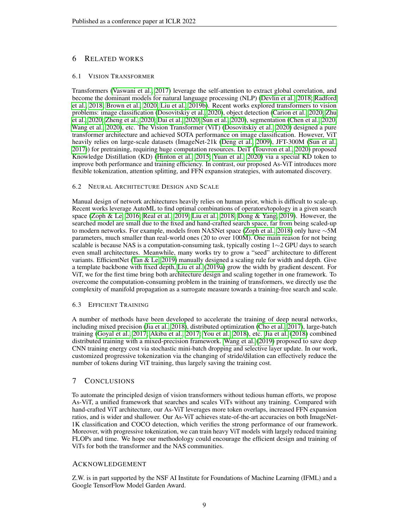## 6 RELATED WORKS

#### 6.1 VISION TRANSFORMER

Transformers [\(Vaswani et al., 2017\)](#page-12-0) leverage the self-attention to extract global correlation, and become the dominant models for natural language processing (NLP) [\(Devlin et al., 2018;](#page-10-10) [Radford](#page-11-13) [et al., 2018;](#page-11-13) [Brown et al., 2020;](#page-9-9) [Liu et al., 2019b\)](#page-11-14). Recent works explored transformers to vision problems: image classification [\(Dosovitskiy et al., 2020\)](#page-10-0), object detection [\(Carion et al., 2020;](#page-9-10) [Zhu](#page-13-3) [et al., 2020;](#page-13-3) [Zheng et al., 2020;](#page-13-4) [Dai et al., 2020;](#page-10-11) [Sun et al., 2020\)](#page-11-15), segmentation [\(Chen et al., 2020;](#page-9-11) [Wang et al., 2020\)](#page-12-13), etc. The Vision Transformer (ViT) [\(Dosovitskiy et al., 2020\)](#page-10-0) designed a pure transformer architecture and achieved SOTA performance on image classification. However, ViT heavily relies on large-scale datasets (ImageNet-21k [\(Deng et al., 2009\)](#page-10-2), JFT-300M [\(Sun et al.,](#page-11-16) [2017\)](#page-11-16)) for pretraining, requiring huge computation resources. DeiT [\(Touvron et al., 2020\)](#page-12-1) proposed Knowledge Distillation (KD) [\(Hinton et al., 2015;](#page-10-12) [Yuan et al., 2020\)](#page-12-14) via a special KD token to improve both performance and training efficiency. In contrast, our proposed As-ViT introduces more flexible tokenization, attention splitting, and FFN expansion strategies, with automated discovery.

#### 6.2 NEURAL ARCHITECTURE DESIGN AND SCALE

Manual design of network architectures heavily relies on human prior, which is difficult to scale-up. Recent works leverage AutoML to find optimal combinations of operators/topology in a given search space [\(Zoph & Le, 2016;](#page-13-5) [Real et al., 2019;](#page-11-17) [Liu et al., 2018;](#page-11-18) [Dong & Yang, 2019\)](#page-10-13). However, the searched model are small due to the fixed and hand-crafted search space, far from being scaled-up to modern networks. For example, models from NASNet space [\(Zoph et al., 2018\)](#page-13-6) only have ∼5M parameters, much smaller than real-world ones (20 to over 100M). One main reason for not being scalable is because NAS is a computation-consuming task, typically costing 1∼2 GPU days to search even small architectures. Meanwhile, many works try to grow a "seed" architecture to different variants. EfficientNet [\(Tan & Le, 2019\)](#page-12-6) manually designed a scaling rule for width and depth. Give a template backbone with fixed depth, [Liu et al.](#page-11-7) [\(2019a\)](#page-11-7) grow the width by gradient descent. For ViT, we for the first time bring both architecture design and scaling together in one framework. To overcome the computation-consuming problem in the training of transformers, we directly use the complexity of manifold propagation as a surrogate measure towards a training-free search and scale.

#### 6.3 EFFICIENT TRAINING

A number of methods have been developed to accelerate the training of deep neural networks, including mixed precision [\(Jia et al., 2018\)](#page-10-7), distributed optimization [\(Cho et al., 2017\)](#page-9-12), large-batch training [\(Goyal et al., 2017;](#page-10-14) [Akiba et al., 2017;](#page-9-13) [You et al., 2018\)](#page-12-15), etc. [Jia et al.](#page-10-7) [\(2018\)](#page-10-7) combined distributed training with a mixed-precision framework. [Wang et al.](#page-12-16) [\(2019\)](#page-12-16) proposed to save deep CNN training energy cost via stochastic mini-batch dropping and selective layer update. In our work, customized progressive tokenization via the changing of stride/dilation can effectively reduce the number of tokens during ViT training, thus largely saving the training cost.

## 7 CONCLUSIONS

To automate the principled design of vision transformers without tedious human efforts, we propose As-ViT, a unified framework that searches and scales ViTs without any training. Compared with hand-crafted ViT architecture, our As-ViT leverages more token overlaps, increased FFN expansion ratios, and is wider and shallower. Our As-ViT achieves state-of-the-art accuracies on both ImageNet-1K classification and COCO detection, which verifies the strong performance of our framework. Moreover, with progressive tokenization, we can train heavy ViT models with largely reduced training FLOPs and time. We hope our methodology could encourage the efficient design and training of ViTs for both the transformer and the NAS communities.

## ACKNOWLEDGEMENT

Z.W. is in part supported by the NSF AI Institute for Foundations of Machine Learning (IFML) and a Google TensorFlow Model Garden Award.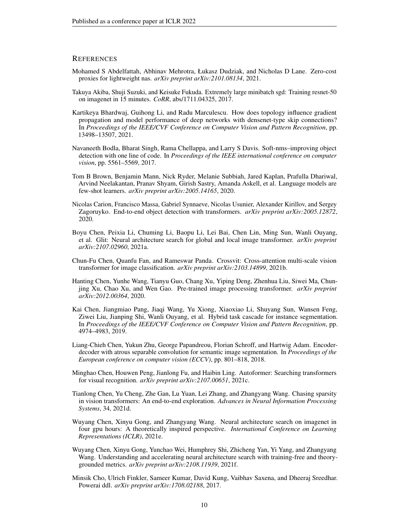#### **REFERENCES**

- <span id="page-9-3"></span>Mohamed S Abdelfattah, Abhinav Mehrotra, Łukasz Dudziak, and Nicholas D Lane. Zero-cost proxies for lightweight nas. *arXiv preprint arXiv:2101.08134*, 2021.
- <span id="page-9-13"></span>Takuya Akiba, Shuji Suzuki, and Keisuke Fukuda. Extremely large minibatch sgd: Training resnet-50 on imagenet in 15 minutes. *CoRR*, abs/1711.04325, 2017.
- <span id="page-9-6"></span>Kartikeya Bhardwaj, Guihong Li, and Radu Marculescu. How does topology influence gradient propagation and model performance of deep networks with densenet-type skip connections? In Proceedings of the IEEE/CVF Conference on Computer Vision and Pattern Recognition, pp. 13498–13507, 2021.
- <span id="page-9-15"></span>Navaneeth Bodla, Bharat Singh, Rama Chellappa, and Larry S Davis. Soft-nms–improving object detection with one line of code. In *Proceedings of the IEEE international conference on computer vision*, pp. 5561–5569, 2017.
- <span id="page-9-9"></span>Tom B Brown, Benjamin Mann, Nick Ryder, Melanie Subbiah, Jared Kaplan, Prafulla Dhariwal, Arvind Neelakantan, Pranav Shyam, Girish Sastry, Amanda Askell, et al. Language models are few-shot learners. *arXiv preprint arXiv:2005.14165*, 2020.
- <span id="page-9-10"></span>Nicolas Carion, Francisco Massa, Gabriel Synnaeve, Nicolas Usunier, Alexander Kirillov, and Sergey Zagoruyko. End-to-end object detection with transformers. *arXiv preprint arXiv:2005.12872*, 2020.
- <span id="page-9-8"></span>Boyu Chen, Peixia Li, Chuming Li, Baopu Li, Lei Bai, Chen Lin, Ming Sun, Wanli Ouyang, et al. Glit: Neural architecture search for global and local image transformer. *arXiv preprint arXiv:2107.02960*, 2021a.
- <span id="page-9-1"></span>Chun-Fu Chen, Quanfu Fan, and Rameswar Panda. Crossvit: Cross-attention multi-scale vision transformer for image classification. *arXiv preprint arXiv:2103.14899*, 2021b.
- <span id="page-9-11"></span>Hanting Chen, Yunhe Wang, Tianyu Guo, Chang Xu, Yiping Deng, Zhenhua Liu, Siwei Ma, Chunjing Xu, Chao Xu, and Wen Gao. Pre-trained image processing transformer. *arXiv preprint arXiv:2012.00364*, 2020.
- <span id="page-9-14"></span>Kai Chen, Jiangmiao Pang, Jiaqi Wang, Yu Xiong, Xiaoxiao Li, Shuyang Sun, Wansen Feng, Ziwei Liu, Jianping Shi, Wanli Ouyang, et al. Hybrid task cascade for instance segmentation. In *Proceedings of the IEEE/CVF Conference on Computer Vision and Pattern Recognition*, pp. 4974–4983, 2019.
- <span id="page-9-2"></span>Liang-Chieh Chen, Yukun Zhu, George Papandreou, Florian Schroff, and Hartwig Adam. Encoderdecoder with atrous separable convolution for semantic image segmentation. In *Proceedings of the European conference on computer vision (ECCV)*, pp. 801–818, 2018.
- <span id="page-9-7"></span>Minghao Chen, Houwen Peng, Jianlong Fu, and Haibin Ling. Autoformer: Searching transformers for visual recognition. *arXiv preprint arXiv:2107.00651*, 2021c.
- <span id="page-9-0"></span>Tianlong Chen, Yu Cheng, Zhe Gan, Lu Yuan, Lei Zhang, and Zhangyang Wang. Chasing sparsity in vision transformers: An end-to-end exploration. *Advances in Neural Information Processing Systems*, 34, 2021d.
- <span id="page-9-4"></span>Wuyang Chen, Xinyu Gong, and Zhangyang Wang. Neural architecture search on imagenet in four gpu hours: A theoretically inspired perspective. *International Conference on Learning Representations (ICLR)*, 2021e.
- <span id="page-9-5"></span>Wuyang Chen, Xinyu Gong, Yunchao Wei, Humphrey Shi, Zhicheng Yan, Yi Yang, and Zhangyang Wang. Understanding and accelerating neural architecture search with training-free and theorygrounded metrics. *arXiv preprint arXiv:2108.11939*, 2021f.
- <span id="page-9-12"></span>Minsik Cho, Ulrich Finkler, Sameer Kumar, David Kung, Vaibhav Saxena, and Dheeraj Sreedhar. Powerai ddl. *arXiv preprint arXiv:1708.02188*, 2017.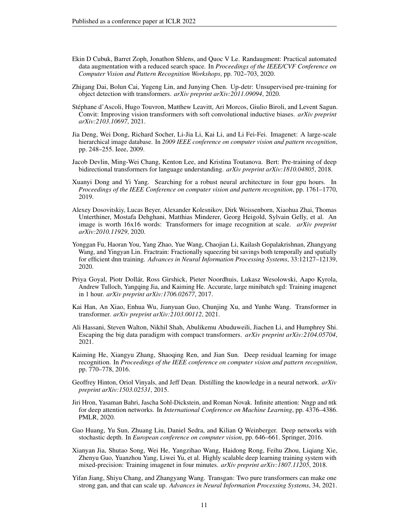- <span id="page-10-16"></span>Ekin D Cubuk, Barret Zoph, Jonathon Shlens, and Quoc V Le. Randaugment: Practical automated data augmentation with a reduced search space. In *Proceedings of the IEEE/CVF Conference on Computer Vision and Pattern Recognition Workshops*, pp. 702–703, 2020.
- <span id="page-10-11"></span>Zhigang Dai, Bolun Cai, Yugeng Lin, and Junying Chen. Up-detr: Unsupervised pre-training for object detection with transformers. *arXiv preprint arXiv:2011.09094*, 2020.
- <span id="page-10-5"></span>Stéphane d'Ascoli, Hugo Touvron, Matthew Leavitt, Ari Morcos, Giulio Biroli, and Levent Sagun. Convit: Improving vision transformers with soft convolutional inductive biases. *arXiv preprint arXiv:2103.10697*, 2021.
- <span id="page-10-2"></span>Jia Deng, Wei Dong, Richard Socher, Li-Jia Li, Kai Li, and Li Fei-Fei. Imagenet: A large-scale hierarchical image database. In *2009 IEEE conference on computer vision and pattern recognition*, pp. 248–255. Ieee, 2009.
- <span id="page-10-10"></span>Jacob Devlin, Ming-Wei Chang, Kenton Lee, and Kristina Toutanova. Bert: Pre-training of deep bidirectional transformers for language understanding. *arXiv preprint arXiv:1810.04805*, 2018.
- <span id="page-10-13"></span>Xuanyi Dong and Yi Yang. Searching for a robust neural architecture in four gpu hours. In *Proceedings of the IEEE Conference on computer vision and pattern recognition*, pp. 1761–1770, 2019.
- <span id="page-10-0"></span>Alexey Dosovitskiy, Lucas Beyer, Alexander Kolesnikov, Dirk Weissenborn, Xiaohua Zhai, Thomas Unterthiner, Mostafa Dehghani, Matthias Minderer, Georg Heigold, Sylvain Gelly, et al. An image is worth 16x16 words: Transformers for image recognition at scale. *arXiv preprint arXiv:2010.11929*, 2020.
- <span id="page-10-8"></span>Yonggan Fu, Haoran You, Yang Zhao, Yue Wang, Chaojian Li, Kailash Gopalakrishnan, Zhangyang Wang, and Yingyan Lin. Fractrain: Fractionally squeezing bit savings both temporally and spatially for efficient dnn training. *Advances in Neural Information Processing Systems*, 33:12127–12139, 2020.
- <span id="page-10-14"></span>Priya Goyal, Piotr Dollár, Ross Girshick, Pieter Noordhuis, Lukasz Wesolowski, Aapo Kyrola, Andrew Tulloch, Yangqing Jia, and Kaiming He. Accurate, large minibatch sgd: Training imagenet in 1 hour. *arXiv preprint arXiv:1706.02677*, 2017.
- <span id="page-10-9"></span>Kai Han, An Xiao, Enhua Wu, Jianyuan Guo, Chunjing Xu, and Yunhe Wang. Transformer in transformer. *arXiv preprint arXiv:2103.00112*, 2021.
- <span id="page-10-4"></span>Ali Hassani, Steven Walton, Nikhil Shah, Abulikemu Abuduweili, Jiachen Li, and Humphrey Shi. Escaping the big data paradigm with compact transformers. *arXiv preprint arXiv:2104.05704*, 2021.
- <span id="page-10-1"></span>Kaiming He, Xiangyu Zhang, Shaoqing Ren, and Jian Sun. Deep residual learning for image recognition. In *Proceedings of the IEEE conference on computer vision and pattern recognition*, pp. 770–778, 2016.
- <span id="page-10-12"></span>Geoffrey Hinton, Oriol Vinyals, and Jeff Dean. Distilling the knowledge in a neural network. *arXiv preprint arXiv:1503.02531*, 2015.
- <span id="page-10-6"></span>Jiri Hron, Yasaman Bahri, Jascha Sohl-Dickstein, and Roman Novak. Infinite attention: Nngp and ntk for deep attention networks. In *International Conference on Machine Learning*, pp. 4376–4386. PMLR, 2020.
- <span id="page-10-15"></span>Gao Huang, Yu Sun, Zhuang Liu, Daniel Sedra, and Kilian Q Weinberger. Deep networks with stochastic depth. In *European conference on computer vision*, pp. 646–661. Springer, 2016.
- <span id="page-10-7"></span>Xianyan Jia, Shutao Song, Wei He, Yangzihao Wang, Haidong Rong, Feihu Zhou, Liqiang Xie, Zhenyu Guo, Yuanzhou Yang, Liwei Yu, et al. Highly scalable deep learning training system with mixed-precision: Training imagenet in four minutes. *arXiv preprint arXiv:1807.11205*, 2018.
- <span id="page-10-3"></span>Yifan Jiang, Shiyu Chang, and Zhangyang Wang. Transgan: Two pure transformers can make one strong gan, and that can scale up. *Advances in Neural Information Processing Systems*, 34, 2021.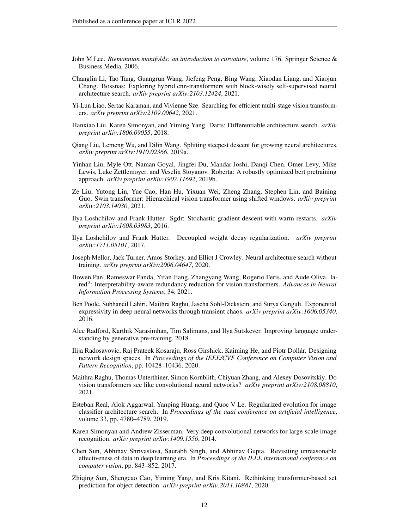- <span id="page-11-5"></span>John M Lee. *Riemannian manifolds: an introduction to curvature*, volume 176. Springer Science & Business Media, 2006.
- <span id="page-11-9"></span>Changlin Li, Tao Tang, Guangrun Wang, Jiefeng Peng, Bing Wang, Xiaodan Liang, and Xiaojun Chang. Bossnas: Exploring hybrid cnn-transformers with block-wisely self-supervised neural architecture search. *arXiv preprint arXiv:2103.12424*, 2021.
- <span id="page-11-10"></span>Yi-Lun Liao, Sertac Karaman, and Vivienne Sze. Searching for efficient multi-stage vision transformers. *arXiv preprint arXiv:2109.00642*, 2021.
- <span id="page-11-18"></span>Hanxiao Liu, Karen Simonyan, and Yiming Yang. Darts: Differentiable architecture search. *arXiv preprint arXiv:1806.09055*, 2018.
- <span id="page-11-7"></span>Qiang Liu, Lemeng Wu, and Dilin Wang. Splitting steepest descent for growing neural architectures. *arXiv preprint arXiv:1910.02366*, 2019a.
- <span id="page-11-14"></span>Yinhan Liu, Myle Ott, Naman Goyal, Jingfei Du, Mandar Joshi, Danqi Chen, Omer Levy, Mike Lewis, Luke Zettlemoyer, and Veselin Stoyanov. Roberta: A robustly optimized bert pretraining approach. *arXiv preprint arXiv:1907.11692*, 2019b.
- <span id="page-11-3"></span>Ze Liu, Yutong Lin, Yue Cao, Han Hu, Yixuan Wei, Zheng Zhang, Stephen Lin, and Baining Guo. Swin transformer: Hierarchical vision transformer using shifted windows. *arXiv preprint arXiv:2103.14030*, 2021.
- <span id="page-11-12"></span>Ilya Loshchilov and Frank Hutter. Sgdr: Stochastic gradient descent with warm restarts. *arXiv preprint arXiv:1608.03983*, 2016.
- <span id="page-11-11"></span>Ilya Loshchilov and Frank Hutter. Decoupled weight decay regularization. *arXiv preprint arXiv:1711.05101*, 2017.
- <span id="page-11-4"></span>Joseph Mellor, Jack Turner, Amos Storkey, and Elliot J Crowley. Neural architecture search without training. *arXiv preprint arXiv:2006.04647*, 2020.
- <span id="page-11-2"></span>Bowen Pan, Rameswar Panda, Yifan Jiang, Zhangyang Wang, Rogerio Feris, and Aude Oliva. Iared<sup>2</sup>: Interpretability-aware redundancy reduction for vision transformers. Advances in Neural *Information Processing Systems*, 34, 2021.
- <span id="page-11-6"></span>Ben Poole, Subhaneil Lahiri, Maithra Raghu, Jascha Sohl-Dickstein, and Surya Ganguli. Exponential expressivity in deep neural networks through transient chaos. *arXiv preprint arXiv:1606.05340*, 2016.
- <span id="page-11-13"></span>Alec Radford, Karthik Narasimhan, Tim Salimans, and Ilya Sutskever. Improving language understanding by generative pre-training, 2018.
- <span id="page-11-8"></span>Ilija Radosavovic, Raj Prateek Kosaraju, Ross Girshick, Kaiming He, and Piotr Dollár. Designing network design spaces. In *Proceedings of the IEEE/CVF Conference on Computer Vision and Pattern Recognition*, pp. 10428–10436, 2020.
- <span id="page-11-1"></span>Maithra Raghu, Thomas Unterthiner, Simon Kornblith, Chiyuan Zhang, and Alexey Dosovitskiy. Do vision transformers see like convolutional neural networks? *arXiv preprint arXiv:2108.08810*, 2021.
- <span id="page-11-17"></span>Esteban Real, Alok Aggarwal, Yanping Huang, and Quoc V Le. Regularized evolution for image classifier architecture search. In *Proceedings of the aaai conference on artificial intelligence*, volume 33, pp. 4780–4789, 2019.
- <span id="page-11-0"></span>Karen Simonyan and Andrew Zisserman. Very deep convolutional networks for large-scale image recognition. *arXiv preprint arXiv:1409.1556*, 2014.
- <span id="page-11-16"></span>Chen Sun, Abhinav Shrivastava, Saurabh Singh, and Abhinav Gupta. Revisiting unreasonable effectiveness of data in deep learning era. In *Proceedings of the IEEE international conference on computer vision*, pp. 843–852, 2017.
- <span id="page-11-15"></span>Zhiqing Sun, Shengcao Cao, Yiming Yang, and Kris Kitani. Rethinking transformer-based set prediction for object detection. *arXiv preprint arXiv:2011.10881*, 2020.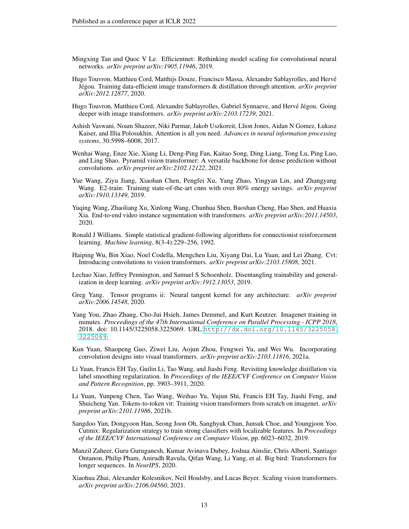- <span id="page-12-6"></span>Mingxing Tan and Quoc V Le. Efficientnet: Rethinking model scaling for convolutional neural networks. *arXiv preprint arXiv:1905.11946*, 2019.
- <span id="page-12-1"></span>Hugo Touvron, Matthieu Cord, Matthijs Douze, Francisco Massa, Alexandre Sablayrolles, and Hervé Jégou. Training data-efficient image transformers & distillation through attention. *arXiv preprint arXiv:2012.12877*, 2020.
- <span id="page-12-2"></span>Hugo Touvron, Matthieu Cord, Alexandre Sablayrolles, Gabriel Synnaeve, and Hervé Jégou. Going deeper with image transformers. *arXiv preprint arXiv:2103.17239*, 2021.
- <span id="page-12-0"></span>Ashish Vaswani, Noam Shazeer, Niki Parmar, Jakob Uszkoreit, Llion Jones, Aidan N Gomez, Łukasz Kaiser, and Illia Polosukhin. Attention is all you need. *Advances in neural information processing systems*, 30:5998–6008, 2017.
- <span id="page-12-5"></span>Wenhai Wang, Enze Xie, Xiang Li, Deng-Ping Fan, Kaitao Song, Ding Liang, Tong Lu, Ping Luo, and Ling Shao. Pyramid vision transformer: A versatile backbone for dense prediction without convolutions. *arXiv preprint arXiv:2102.12122*, 2021.
- <span id="page-12-16"></span>Yue Wang, Ziyu Jiang, Xiaohan Chen, Pengfei Xu, Yang Zhao, Yingyan Lin, and Zhangyang Wang. E2-train: Training state-of-the-art cnns with over 80% energy savings. *arXiv preprint arXiv:1910.13349*, 2019.
- <span id="page-12-13"></span>Yuqing Wang, Zhaoliang Xu, Xinlong Wang, Chunhua Shen, Baoshan Cheng, Hao Shen, and Huaxia Xia. End-to-end video instance segmentation with transformers. *arXiv preprint arXiv:2011.14503*, 2020.
- <span id="page-12-10"></span>Ronald J Williams. Simple statistical gradient-following algorithms for connectionist reinforcement learning. *Machine learning*, 8(3-4):229–256, 1992.
- <span id="page-12-3"></span>Haiping Wu, Bin Xiao, Noel Codella, Mengchen Liu, Xiyang Dai, Lu Yuan, and Lei Zhang. Cvt: Introducing convolutions to vision transformers. *arXiv preprint arXiv:2103.15808*, 2021.
- <span id="page-12-8"></span>Lechao Xiao, Jeffrey Pennington, and Samuel S Schoenholz. Disentangling trainability and generalization in deep learning. *arXiv preprint arXiv:1912.13053*, 2019.
- <span id="page-12-9"></span>Greg Yang. Tensor programs ii: Neural tangent kernel for any architecture. *arXiv preprint arXiv:2006.14548*, 2020.
- <span id="page-12-15"></span>Yang You, Zhao Zhang, Cho-Jui Hsieh, James Demmel, and Kurt Keutzer. Imagenet training in minutes. *Proceedings of the 47th International Conference on Parallel Processing - ICPP 2018*, 2018. doi: 10.1145/3225058.3225069. URL [http://dx.doi.org/10.1145/3225058.](http://dx.doi.org/10.1145/3225058.3225069) [3225069](http://dx.doi.org/10.1145/3225058.3225069).
- <span id="page-12-4"></span>Kun Yuan, Shaopeng Guo, Ziwei Liu, Aojun Zhou, Fengwei Yu, and Wei Wu. Incorporating convolution designs into visual transformers. *arXiv preprint arXiv:2103.11816*, 2021a.
- <span id="page-12-14"></span>Li Yuan, Francis EH Tay, Guilin Li, Tao Wang, and Jiashi Feng. Revisiting knowledge distillation via label smoothing regularization. In *Proceedings of the IEEE/CVF Conference on Computer Vision and Pattern Recognition*, pp. 3903–3911, 2020.
- <span id="page-12-12"></span>Li Yuan, Yunpeng Chen, Tao Wang, Weihao Yu, Yujun Shi, Francis EH Tay, Jiashi Feng, and Shuicheng Yan. Tokens-to-token vit: Training vision transformers from scratch on imagenet. *arXiv preprint arXiv:2101.11986*, 2021b.
- <span id="page-12-17"></span>Sangdoo Yun, Dongyoon Han, Seong Joon Oh, Sanghyuk Chun, Junsuk Choe, and Youngjoon Yoo. Cutmix: Regularization strategy to train strong classifiers with localizable features. In *Proceedings of the IEEE/CVF International Conference on Computer Vision*, pp. 6023–6032, 2019.
- <span id="page-12-7"></span>Manzil Zaheer, Guru Guruganesh, Kumar Avinava Dubey, Joshua Ainslie, Chris Alberti, Santiago Ontanon, Philip Pham, Anirudh Ravula, Qifan Wang, Li Yang, et al. Big bird: Transformers for longer sequences. In *NeurIPS*, 2020.
- <span id="page-12-11"></span>Xiaohua Zhai, Alexander Kolesnikov, Neil Houlsby, and Lucas Beyer. Scaling vision transformers. *arXiv preprint arXiv:2106.04560*, 2021.